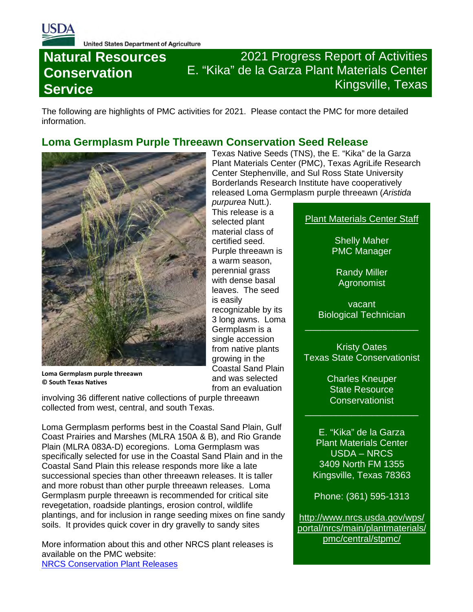ISDA **United States Department of Agriculture** 

# **Natural Resources Conservation Service**

## 2021 Progress Report of Activities E. "Kika" de la Garza Plant Materials Center Kingsville, Texas

The following are highlights of PMC activities for 2021. Please contact the PMC for more detailed information.

### **Loma Germplasm Purple Threeawn Conservation Seed Release**



*purpurea* Nutt.). This release is a selected plant material class of certified seed. Purple threeawn is a warm season, perennial grass with dense basal leaves. The seed is easily recognizable by its 3 long awns. Loma Germplasm is a single accession from native plants growing in the Coastal Sand Plain and was selected from an evaluation

**Loma Germplasm purple threeawn © South Texas Natives**

involving 36 different native collections of purple threeawn collected from west, central, and south Texas.

Loma Germplasm performs best in the Coastal Sand Plain, Gulf Coast Prairies and Marshes (MLRA 150A & B), and Rio Grande Plain (MLRA 083A-D) ecoregions. Loma Germplasm was specifically selected for use in the Coastal Sand Plain and in the Coastal Sand Plain this release responds more like a late successional species than other threeawn releases. It is taller and more robust than other purple threeawn releases. Loma Germplasm purple threeawn is recommended for critical site revegetation, roadside plantings, erosion control, wildlife plantings, and for inclusion in range seeding mixes on fine sandy soils. It provides quick cover in dry gravelly to sandy sites

More information about this and other NRCS plant releases is available on the PMC website: [NRCS Conservation Plant Releases](https://www.nrcs.usda.gov/wps/portal/nrcs/releases/plantmaterials/technical/cp/release/?stype=fyr)

Texas Native Seeds (TNS), the E. "Kika" de la Garza Plant Materials Center (PMC), Texas AgriLife Research Center Stephenville, and Sul Ross State University Borderlands Research Institute have cooperatively released Loma Germplasm purple threeawn (*Aristida* 

Plant Materials Center Staff

Shelly Maher PMC Manager

Randy Miller Agronomist

vacant Biological Technician

\_\_\_\_\_\_\_\_\_\_\_\_\_\_\_\_\_\_\_\_\_\_

Kristy Oates Texas State Conservationist

> Charles Kneuper State Resource **Conservationist**

E. "Kika" de la Garza Plant Materials Center USDA – NRCS 3409 North FM 1355 Kingsville, Texas 78363

Phone: (361) 595-1313

[http://www.nrcs.usda.gov/wps/](https://www.nrcs.usda.gov/wps/portal/nrcs/main/plantmaterials/pmc/central/stpmc/) [portal/nrcs/main/plantmaterials/](https://www.nrcs.usda.gov/wps/portal/nrcs/main/plantmaterials/pmc/central/stpmc/) [pmc/central/stpmc/](https://www.nrcs.usda.gov/wps/portal/nrcs/main/plantmaterials/pmc/central/stpmc/)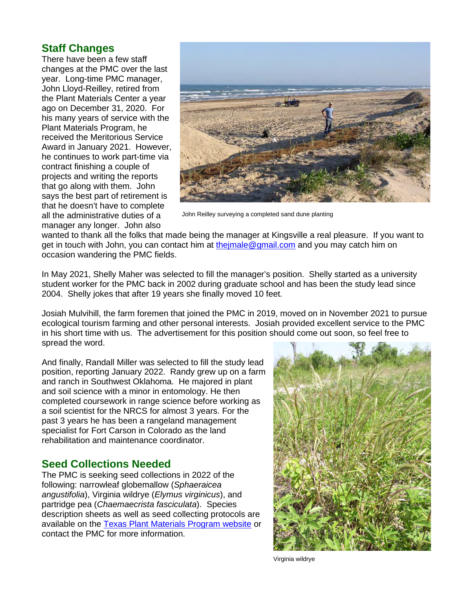### **Staff Changes**

There have been a few staff changes at the PMC over the last year. Long-time PMC manager, John Lloyd-Reilley, retired from the Plant Materials Center a year ago on December 31, 2020. For his many years of service with the Plant Materials Program, he received the Meritorious Service Award in January 2021. However, he continues to work part-time via contract finishing a couple of projects and writing the reports that go along with them. John says the best part of retirement is that he doesn't have to complete all the administrative duties of a manager any longer. John also



John Reilley surveying a completed sand dune planting

wanted to thank all the folks that made being the manager at Kingsville a real pleasure. If you want to get in touch with John, you can contact him at [thejmale@gmail.com](mailto:thejmale@gmail.com) and you may catch him on occasion wandering the PMC fields.

In May 2021, Shelly Maher was selected to fill the manager's position. Shelly started as a university student worker for the PMC back in 2002 during graduate school and has been the study lead since 2004. Shelly jokes that after 19 years she finally moved 10 feet.

Josiah Mulvihill, the farm foremen that joined the PMC in 2019, moved on in November 2021 to pursue ecological tourism farming and other personal interests. Josiah provided excellent service to the PMC in his short time with us. The advertisement for this position should come out soon, so feel free to spread the word.

And finally, Randall Miller was selected to fill the study lead position, reporting January 2022. Randy grew up on a farm and ranch in Southwest Oklahoma. He majored in plant and soil science with a minor in entomology. He then completed coursework in range science before working as a soil scientist for the NRCS for almost 3 years. For the past 3 years he has been a rangeland management specialist for Fort Carson in Colorado as the land rehabilitation and maintenance coordinator.

### **Seed Collections Needed**

The PMC is seeking seed collections in 2022 of the following: narrowleaf globemallow (*Sphaeraicea angustifolia*), Virginia wildrye (*Elymus virginicus*), and partridge pea (*Chaemaecrista fasciculata*). Species description sheets as well as seed collecting protocols are available on the [Texas Plant Materials Program website](http://www.nrcs.usda.gov/wps/portal/nrcs/detail/tx/plantsanimals/?cid=nrcs144p2_003036) or contact the PMC for more information.



Virginia wildrye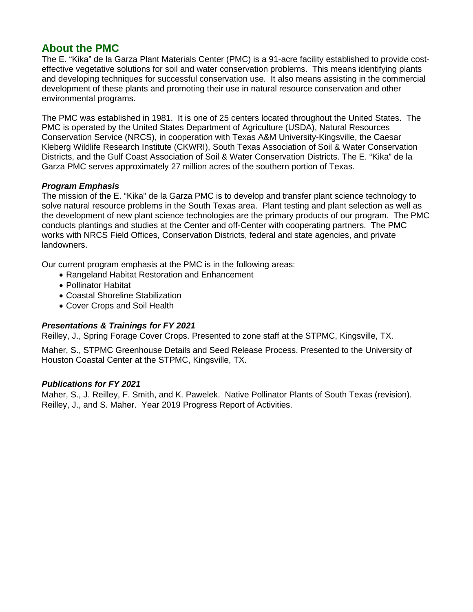### **About the PMC**

The E. "Kika" de la Garza Plant Materials Center (PMC) is a 91-acre facility established to provide costeffective vegetative solutions for soil and water conservation problems. This means identifying plants and developing techniques for successful conservation use. It also means assisting in the commercial development of these plants and promoting their use in natural resource conservation and other environmental programs.

The PMC was established in 1981. It is one of 25 centers located throughout the United States. The PMC is operated by the United States Department of Agriculture (USDA), Natural Resources Conservation Service (NRCS), in cooperation with Texas A&M University-Kingsville, the Caesar Kleberg Wildlife Research Institute (CKWRI), South Texas Association of Soil & Water Conservation Districts, and the Gulf Coast Association of Soil & Water Conservation Districts. The E. "Kika" de la Garza PMC serves approximately 27 million acres of the southern portion of Texas.

#### *Program Emphasis*

The mission of the E. "Kika" de la Garza PMC is to develop and transfer plant science technology to solve natural resource problems in the South Texas area. Plant testing and plant selection as well as the development of new plant science technologies are the primary products of our program. The PMC conducts plantings and studies at the Center and off-Center with cooperating partners. The PMC works with NRCS Field Offices, Conservation Districts, federal and state agencies, and private landowners.

Our current program emphasis at the PMC is in the following areas:

- Rangeland Habitat Restoration and Enhancement
- Pollinator Habitat
- Coastal Shoreline Stabilization
- Cover Crops and Soil Health

#### *Presentations & Trainings for FY 2021*

Reilley, J., Spring Forage Cover Crops. Presented to zone staff at the STPMC, Kingsville, TX.

Maher, S., STPMC Greenhouse Details and Seed Release Process. Presented to the University of Houston Coastal Center at the STPMC, Kingsville, TX.

#### *Publications for FY 2021*

Maher, S., J. Reilley, F. Smith, and K. Pawelek. Native Pollinator Plants of South Texas (revision). Reilley, J., and S. Maher. Year 2019 Progress Report of Activities.